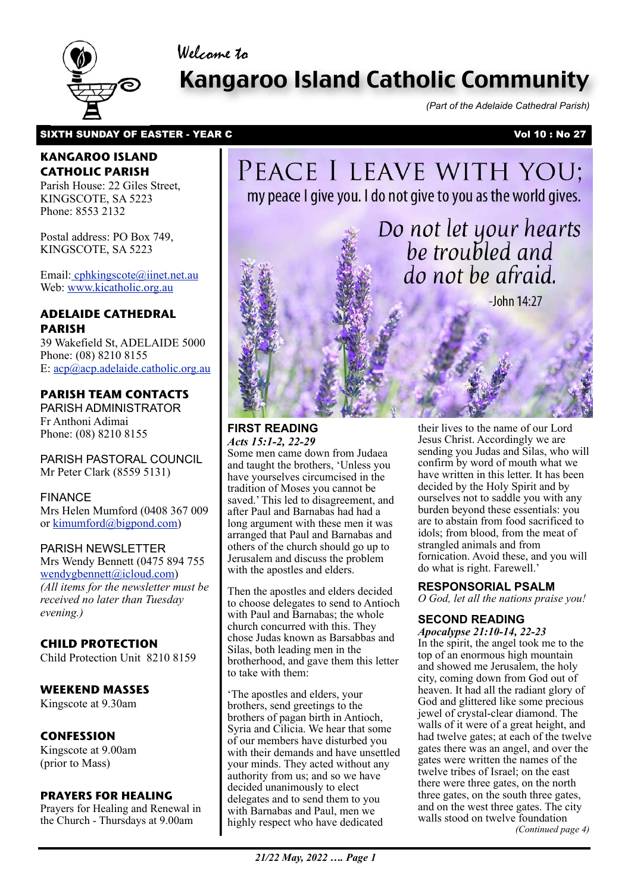# Welcome to



# Kangaroo Island Catholic Community

*(Part of the Adelaide Cathedral Parish)*

## SIXTH SUNDAY OF EASTER - YEAR C Vol 10 : No 27

## **KANGAROO ISLAND CATHOLIC PARISH**

Parish House: 22 Giles Street, KINGSCOTE, SA 5223 Phone: 8553 2132

Postal address: PO Box 749, KINGSCOTE, SA 5223

Email[: cphkingscote@iinet.net.au](mailto:cphkingscote@iinet.net.au) Web: [www.kicatholic.org.au](http://www.kicatholic.org.au)

# **ADELAIDE CATHEDRAL PARISH**

39 Wakefield St, ADELAIDE 5000 Phone: (08) 8210 8155 E: [acp@acp.adelaide.catholic.org.au](mailto:?subject=)

# **PARISH TEAM CONTACTS**

PARISH ADMINISTRATOR Fr Anthoni Adimai Phone: (08) 8210 8155

PARISH PASTORAL COUNCIL Mr Peter Clark (8559 5131)

FINANCE Mrs Helen Mumford (0408 367 009 or [kimumford@bigpond.com\)](mailto:kimumford@bigpond.com)

#### PARISH NEWSLETTER

Mrs Wendy Bennett (0475 894 755 [wendygbennett@icloud.com\)](mailto:wendygbennett@icloud.com) *(All items for the newsletter must be received no later than Tuesday evening.)*

# **CHILD PROTECTION**

Child Protection Unit 8210 8159

# **WEEKEND MASSES**

Kingscote at 9.30am

# **CONFESSION**

Kingscote at 9.00am (prior to Mass)

#### **PRAYERS FOR HEALING**

Prayers for Healing and Renewal in the Church - Thursdays at 9.00am

# PEACE I LEAVE WITH YOU; my peace I give you. I do not give to you as the world gives.

Do not let your hearts

be troubled and do not be afraid.

 $-John 14:27$ 

**FIRST READING** *Acts 15:1-2, 22-29*

Some men came down from Judaea and taught the brothers, 'Unless you have yourselves circumcised in the tradition of Moses you cannot be saved.' This led to disagreement, and after Paul and Barnabas had had a long argument with these men it was arranged that Paul and Barnabas and others of the church should go up to Jerusalem and discuss the problem with the apostles and elders.

Then the apostles and elders decided to choose delegates to send to Antioch with Paul and Barnabas; the whole church concurred with this. They chose Judas known as Barsabbas and Silas, both leading men in the brotherhood, and gave them this letter to take with them:

'The apostles and elders, your brothers, send greetings to the brothers of pagan birth in Antioch, Syria and Cilicia. We hear that some of our members have disturbed you with their demands and have unsettled your minds. They acted without any authority from us; and so we have decided unanimously to elect delegates and to send them to you with Barnabas and Paul, men we highly respect who have dedicated

their lives to the name of our Lord Jesus Christ. Accordingly we are sending you Judas and Silas, who will confirm by word of mouth what we have written in this letter. It has been decided by the Holy Spirit and by ourselves not to saddle you with any burden beyond these essentials: you are to abstain from food sacrificed to idols; from blood, from the meat of strangled animals and from fornication. Avoid these, and you will do what is right. Farewell.'

## **RESPONSORIAL PSALM**

*O God, let all the nations praise you!*

# **SECOND READING**

*Apocalypse 21:10-14, 22-23* In the spirit, the angel took me to the top of an enormous high mountain and showed me Jerusalem, the holy city, coming down from God out of heaven. It had all the radiant glory of God and glittered like some precious jewel of crystal-clear diamond. The walls of it were of a great height, and had twelve gates; at each of the twelve gates there was an angel, and over the gates were written the names of the twelve tribes of Israel; on the east there were three gates, on the north three gates, on the south three gates, and on the west three gates. The city walls stood on twelve foundation *(Continued page 4)*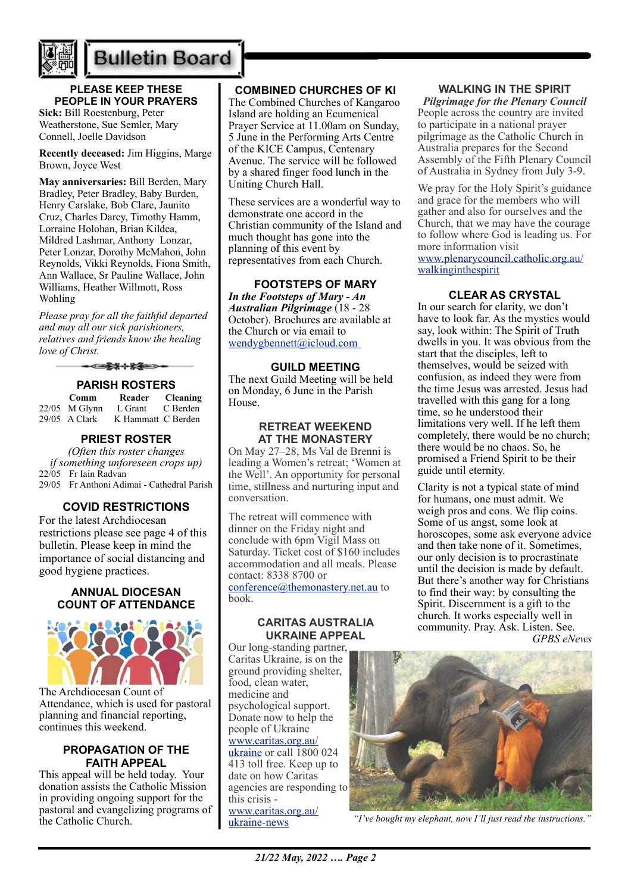

# **Bulletin Board**

## **PLEASE KEEP THESE PEOPLE IN YOUR PRAYERS**

**Sick:** Bill Roestenburg, Peter Weatherstone, Sue Semler, Mary Connell, Joelle Davidson

**Recently deceased:** Jim Higgins, Marge Brown, Joyce West

**May anniversaries:** Bill Berden, Mary Bradley, Peter Bradley, Baby Burden, Henry Carslake, Bob Clare, Jaunito Cruz, Charles Darcy, Timothy Hamm, Lorraine Holohan, Brian Kildea, Mildred Lashmar, Anthony Lonzar, Peter Lonzar, Dorothy McMahon, John Reynolds, Vikki Reynolds, Fiona Smith, Ann Wallace, Sr Pauline Wallace, John Williams, Heather Willmott, Ross Wohling

*Please pray for all the faithful departed and may all our sick parishioners, relatives and friends know the healing love of Christ.*

### **PARISH ROSTERS**

| Comm            | Reader             | <b>Cleaning</b> |
|-----------------|--------------------|-----------------|
| $22/05$ M Glynn | L Grant            | C Berden        |
| $29/05$ A Clark | K Hammatt C Berden |                 |

### **PRIEST ROSTER**

*(Often this roster changes if something unforeseen crops up)* 22/05 Fr Iain Radvan 29/05 Fr Anthoni Adimai - Cathedral Parish

## **COVID RESTRICTIONS**

For the latest Archdiocesan restrictions please see page 4 of this bulletin. Please keep in mind the importance of social distancing and good hygiene practices.

#### **ANNUAL DIOCESAN COUNT OF ATTENDANCE**



The Archdiocesan Count of Attendance, which is used for pastoral planning and financial reporting, continues this weekend.

#### **PROPAGATION OF THE FAITH APPEAL**

This appeal will be held today. Your donation assists the Catholic Mission in providing ongoing support for the pastoral and evangelizing programs of the Catholic Church.

## **COMBINED CHURCHES OF KI**

The Combined Churches of Kangaroo Island are holding an Ecumenical Prayer Service at 11.00am on Sunday, 5 June in the Performing Arts Centre of the KICE Campus, Centenary Avenue. The service will be followed by a shared finger food lunch in the Uniting Church Hall.

These services are a wonderful way to demonstrate one accord in the Christian community of the Island and much thought has gone into the planning of this event by representatives from each Church.

**FOOTSTEPS OF MARY** *In the Footsteps of Mary - An Australian Pilgrimage* (18 - 28 October). Brochures are available at the Church or via email to [wendygbennett@icloud.com](mailto:wendygbennett@icloud.com) 

## **GUILD MEETING**

The next Guild Meeting will be held on Monday, 6 June in the Parish House.

#### **RETREAT WEEKEND AT THE MONASTERY**

On May 27–28, Ms Val de Brenni is leading a Women's retreat; 'Women at the Well'. An opportunity for personal time, stillness and nurturing input and conversation.

The retreat will commence with dinner on the Friday night and conclude with 6pm Vigil Mass on Saturday. Ticket cost of \$160 includes accommodation and all meals. Please contact: 8338 8700 or

[conference@themonastery.net.au](mailto:conference@themonastery.net.au) to book.

#### **CARITAS AUSTRALIA UKRAINE APPEAL**

Our long-standing partner, Caritas Ukraine, is on the ground providing shelter, food, clean water, medicine and psychological support. Donate now to help the people of Ukraine [www.caritas.org.au/](https://aus01.safelinks.protection.outlook.com/?url=http%3A%2F%2Fwww.caritas.org.au%2Fukraine&data=04%7C01%7CCco-Reception%40adelaide.catholic.org.au%7Cfc58bf7f33d340f2ee9b08da07b447d1%7Cfe51d108d61d407cbcaaaab5af82a7ac%7C1%7C0%7C637830768121954887%7CUnknown%7CTWFpbGZsb3d8eyJWIjoiMC4wLjAwMDAiLCJQIjoiV2luMzIiLCJBTiI6Ik1haWwiLCJXVCI6Mn0%3D%7C3000&sdata=rOXCte9AEd2c89fp5zaw9%2FEi7PK87M7lemKGAncPi%2B8%3D&reserved=0) [ukraine](https://aus01.safelinks.protection.outlook.com/?url=http%3A%2F%2Fwww.caritas.org.au%2Fukraine&data=04%7C01%7CCco-Reception%40adelaide.catholic.org.au%7Cfc58bf7f33d340f2ee9b08da07b447d1%7Cfe51d108d61d407cbcaaaab5af82a7ac%7C1%7C0%7C637830768121954887%7CUnknown%7CTWFpbGZsb3d8eyJWIjoiMC4wLjAwMDAiLCJQIjoiV2luMzIiLCJBTiI6Ik1haWwiLCJXVCI6Mn0%3D%7C3000&sdata=rOXCte9AEd2c89fp5zaw9%2FEi7PK87M7lemKGAncPi%2B8%3D&reserved=0) or call  $\overline{1800024}$ 413 toll free. Keep up to date on how Caritas agencies are responding to this crisis [www.caritas.org.au/](https://aus01.safelinks.protection.outlook.com/?url=http%3A%2F%2Fwww.caritas.org.au%2Fukraine-news&data=04%7C01%7CCco-Reception%40adelaide.catholic.org.au%7Cfc58bf7f33d340f2ee9b08da07b447d1%7Cfe51d108d61d407cbcaaaab5af82a7ac%7C1%7C0%7C637830768121954887%7CUnknown%7CTWFpbGZsb3d8eyJWIjoiMC4wLjAwMDAiLCJQIjoiV2luMzIiLCJBTiI6Ik1haWwiLCJXVCI6Mn0%3D%7C3000&sdata=GLRcp0dt1SgGoLPRBlSbLWB%2Fp8GMz2LoehdjvnSFQWg%3D&reserved=0) [ukraine-news](https://aus01.safelinks.protection.outlook.com/?url=http%3A%2F%2Fwww.caritas.org.au%2Fukraine-news&data=04%7C01%7CCco-Reception%40adelaide.catholic.org.au%7Cfc58bf7f33d340f2ee9b08da07b447d1%7Cfe51d108d61d407cbcaaaab5af82a7ac%7C1%7C0%7C637830768121954887%7CUnknown%7CTWFpbGZsb3d8eyJWIjoiMC4wLjAwMDAiLCJQIjoiV2luMzIiLCJBTiI6Ik1haWwiLCJXVCI6Mn0%3D%7C3000&sdata=GLRcp0dt1SgGoLPRBlSbLWB%2Fp8GMz2LoehdjvnSFQWg%3D&reserved=0)

#### **WALKING IN THE SPIRIT**

*Pilgrimage for the Plenary Council*  People across the country are invited to participate in a national prayer pilgrimage as the Catholic Church in Australia prepares for the Second Assembly of the Fifth Plenary Council of Australia in Sydney from July 3-9.

We pray for the Holy Spirit's guidance and grace for the members who will gather and also for ourselves and the Church, that we may have the courage to follow where God is leading us. For more information visit [www.plenarycouncil.catholic.org.au/](http://www.plenarycouncil.catholic.org.au/walkinginthespirit) [walkinginthespirit](http://www.plenarycouncil.catholic.org.au/walkinginthespirit)

### **CLEAR AS CRYSTAL**

In our search for clarity, we don't have to look far. As the mystics would say, look within: The Spirit of Truth dwells in you. It was obvious from the start that the disciples, left to themselves, would be seized with confusion, as indeed they were from the time Jesus was arrested. Jesus had travelled with this gang for a long time, so he understood their limitations very well. If he left them completely, there would be no church; there would be no chaos. So, he promised a Friend Spirit to be their guide until eternity.

Clarity is not a typical state of mind for humans, one must admit. We weigh pros and cons. We flip coins. Some of us angst, some look at horoscopes, some ask everyone advice and then take none of it. Sometimes, our only decision is to procrastinate until the decision is made by default. But there's another way for Christians to find their way: by consulting the Spirit. Discernment is a gift to the church. It works especially well in community. Pray. Ask. Listen. See. *GPBS eNews*



*"I've bought my elephant, now I'll just read the instructions."*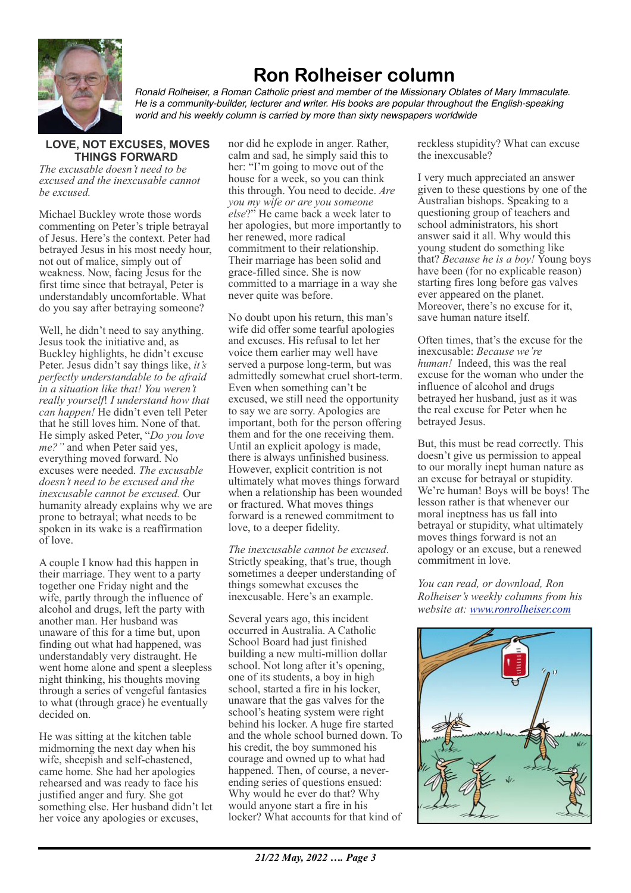

# **Ron Rolheiser column**

*Ronald Rolheiser, a Roman Catholic priest and member of the Missionary Oblates of Mary Immaculate. He is a community-builder, lecturer and writer. His books are popular throughout the English-speaking world and his weekly column is carried by more than sixty newspapers worldwide*

## **LOVE, NOT EXCUSES, MOVES THINGS FORWARD**

*The excusable doesn't need to be excused and the inexcusable cannot be excused.*

Michael Buckley wrote those words commenting on Peter's triple betrayal of Jesus. Here's the context. Peter had betrayed Jesus in his most needy hour, not out of malice, simply out of weakness. Now, facing Jesus for the first time since that betrayal, Peter is understandably uncomfortable. What do you say after betraying someone?

Well, he didn't need to say anything. Jesus took the initiative and, as Buckley highlights, he didn't excuse Peter. Jesus didn't say things like, *it's perfectly understandable to be afraid in a situation like that! You weren't really yourself*! *I understand how that can happen!* He didn't even tell Peter that he still loves him. None of that. He simply asked Peter, "*Do you love me?"* and when Peter said yes, everything moved forward. No excuses were needed. *The excusable doesn't need to be excused and the inexcusable cannot be excused.* Our humanity already explains why we are prone to betrayal; what needs to be spoken in its wake is a reaffirmation of love.

A couple I know had this happen in their marriage. They went to a party together one Friday night and the wife, partly through the influence of alcohol and drugs, left the party with another man. Her husband was unaware of this for a time but, upon finding out what had happened, was understandably very distraught. He went home alone and spent a sleepless night thinking, his thoughts moving through a series of vengeful fantasies to what (through grace) he eventually decided on.

He was sitting at the kitchen table midmorning the next day when his wife, sheepish and self-chastened, came home. She had her apologies rehearsed and was ready to face his justified anger and fury. She got something else. Her husband didn't let her voice any apologies or excuses,

nor did he explode in anger. Rather, calm and sad, he simply said this to her: "I'm going to move out of the house for a week, so you can think this through. You need to decide. *Are you my wife or are you someone else*?" He came back a week later to her apologies, but more importantly to her renewed, more radical commitment to their relationship. Their marriage has been solid and grace-filled since. She is now committed to a marriage in a way she never quite was before.

No doubt upon his return, this man's wife did offer some tearful apologies and excuses. His refusal to let her voice them earlier may well have served a purpose long-term, but was admittedly somewhat cruel short-term. Even when something can't be excused, we still need the opportunity to say we are sorry. Apologies are important, both for the person offering them and for the one receiving them. Until an explicit apology is made, there is always unfinished business. However, explicit contrition is not ultimately what moves things forward when a relationship has been wounded or fractured. What moves things forward is a renewed commitment to love, to a deeper fidelity.

*The inexcusable cannot be excused*. Strictly speaking, that's true, though sometimes a deeper understanding of things somewhat excuses the inexcusable. Here's an example.

Several years ago, this incident occurred in Australia. A Catholic School Board had just finished building a new multi-million dollar school. Not long after it's opening, one of its students, a boy in high school, started a fire in his locker, unaware that the gas valves for the school's heating system were right behind his locker. A huge fire started and the whole school burned down. To his credit, the boy summoned his courage and owned up to what had happened. Then, of course, a neverending series of questions ensued: Why would he ever do that? Why would anyone start a fire in his locker? What accounts for that kind of reckless stupidity? What can excuse the inexcusable?

I very much appreciated an answer given to these questions by one of the Australian bishops. Speaking to a questioning group of teachers and school administrators, his short answer said it all. Why would this young student do something like that? *Because he is a boy!* Young boys have been (for no explicable reason) starting fires long before gas valves ever appeared on the planet. Moreover, there's no excuse for it, save human nature itself.

Often times, that's the excuse for the inexcusable: *Because we're human!* Indeed, this was the real excuse for the woman who under the influence of alcohol and drugs betrayed her husband, just as it was the real excuse for Peter when he betrayed Jesus.

But, this must be read correctly. This doesn't give us permission to appeal to our morally inept human nature as an excuse for betrayal or stupidity. We're human! Boys will be boys! The lesson rather is that whenever our moral ineptness has us fall into betrayal or stupidity, what ultimately moves things forward is not an apology or an excuse, but a renewed commitment in love.

*You can read, or download, Ron Rolheiser's weekly columns from his website at: [www.ronrolheiser.com](http://www.ronrolheiser.com)*